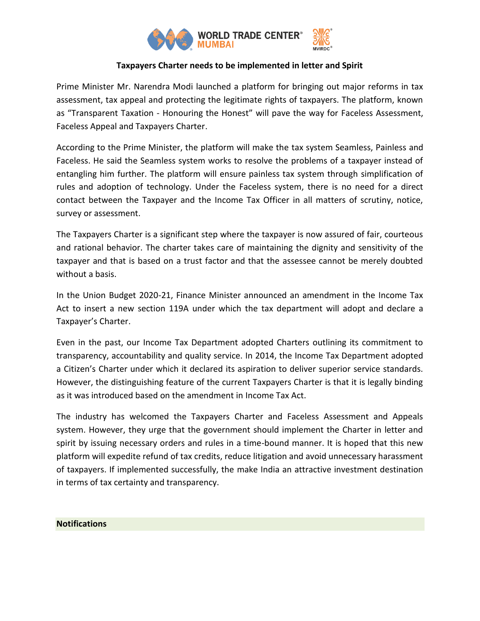

## **Taxpayers Charter needs to be implemented in letter and Spirit**

Prime Minister Mr. Narendra Modi launched a platform for bringing out major reforms in tax assessment, tax appeal and protecting the legitimate rights of taxpayers. The platform, known as "Transparent Taxation - Honouring the Honest" will pave the way for Faceless Assessment, Faceless Appeal and Taxpayers Charter.

According to the Prime Minister, the platform will make the tax system Seamless, Painless and Faceless. He said the Seamless system works to resolve the problems of a taxpayer instead of entangling him further. The platform will ensure painless tax system through simplification of rules and adoption of technology. Under the Faceless system, there is no need for a direct contact between the Taxpayer and the Income Tax Officer in all matters of scrutiny, notice, survey or assessment.

The Taxpayers Charter is a significant step where the taxpayer is now assured of fair, courteous and rational behavior. The charter takes care of maintaining the dignity and sensitivity of the taxpayer and that is based on a trust factor and that the assessee cannot be merely doubted without a basis.

In the Union Budget 2020-21, Finance Minister announced an amendment in the Income Tax Act to insert a new section 119A under which the tax department will adopt and declare a Taxpayer's Charter.

Even in the past, our Income Tax Department adopted Charters outlining its commitment to transparency, accountability and quality service. In 2014, the Income Tax Department adopted a Citizen's Charter under which it declared its aspiration to deliver superior service standards. However, the distinguishing feature of the current Taxpayers Charter is that it is legally binding as it was introduced based on the amendment in Income Tax Act.

The industry has welcomed the Taxpayers Charter and Faceless Assessment and Appeals system. However, they urge that the government should implement the Charter in letter and spirit by issuing necessary orders and rules in a time-bound manner. It is hoped that this new platform will expedite refund of tax credits, reduce litigation and avoid unnecessary harassment of taxpayers. If implemented successfully, the make India an attractive investment destination in terms of tax certainty and transparency.

## **Notifications**